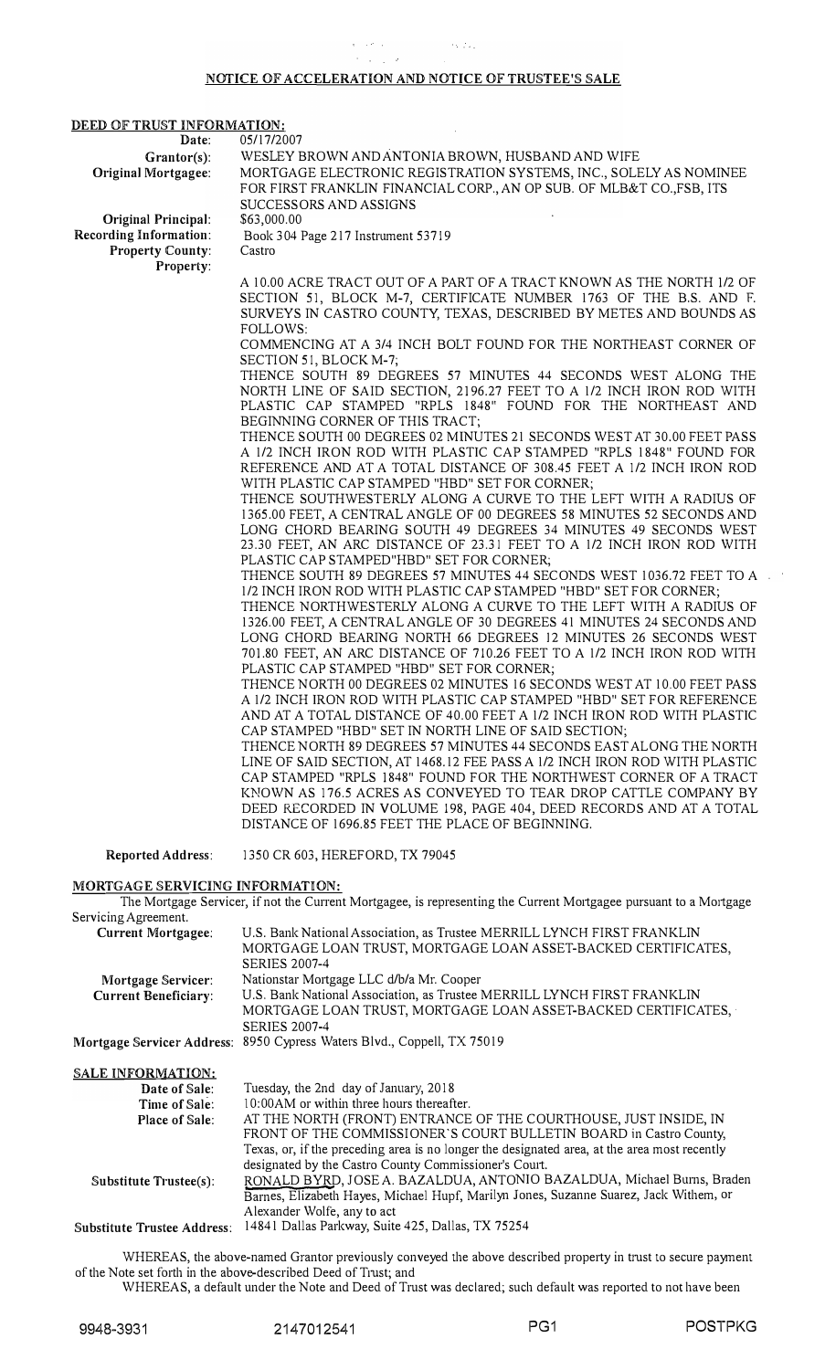## NOTICE OF ACCELERATION AND NOTICE OF TRUSTEE'§ §ALE

## DEED OF TRUST INFORMATION:

Original Principal: Recording Information: Property County: Property:

Date: 05/17/2007

Castro

Grantor(s): WESLEY BROWN AND ANTONIA BROWN, HUSBAND AND WIFE Original Mortgagee: MORTGAGE ELECTRONIC REGISTRATION SYSTEMS, INC., SOLELY AS NOMINEE FOR FIRST FRANKLIN FINANCIAL CORP., AN OP SUB. OF MLB&T CO.,FSB, ITS SUCCESSORS AND ASSIGNS

\$63,000.00 Book 3 04 Page 217 Instrument 53 719

A 10.00 ACRE TRACT OUT OF A PART OF A TRACT KNOWN AS THE NORTH 112 OF SECTION 51, BLOCK M-7, CERTIFICATE NUMBER 1763 OF THE B.S. AND F. SURVEYS IN CASTRO COUNTY, TEXAS, DESCRIBED BY METES AND BOUNDS AS FOLLOWS:

COMMENCING AT A 3/4 INCH BOLT FOUND FOR THE NORTHEAST CORNER OF SECTION 51, BLOCK M-7;

THENCE SOUTH 89 DEGREES 57 MINUTES 44 SECONDS WEST ALONG THE NORTH LINE OF SAID SECTION, 2196.27 FEET TO A 112 INCH IRON ROD WITH PLASTIC CAP STAMPED "RPLS 1848" FOUND FOR THE NORTHEAST AND BEGINNING CORNER OF THIS TRACT;

THENCE SOUTH 00 DEGREES 02 MINUTES 21 SECONDS WEST AT 30.00 FEET PASS A 1/2 INCH IRON ROD WITH PLASTIC CAP STAMPED "RPLS 1848" FOUND FOR R EFERENCE AND AT A TOTAL DISTANCE OF 308.45 FEET A 1/2 INCH IRON ROD WITH PLASTIC CAP STAMPED "HBD" SET FOR CORNER;

THENCE SOUTHWESTERLY ALONG A CURVE TO THE LEFT WITH A RADIUS OF 1365.00 FEET, A CENTRAL ANGLE OF 00 DEGREES 58 MINUTES 52 SECONDS AND LONG CHORD BEARING SOUTH 49 DEGREES 34 MINUTES 49 SECONDS WEST 23.30 FEET, AN ARC DISTANCE OF 23.31 FEET TO A 1/2 INCH IRON ROD WITH PLASTIC CAP STAMPED"HBD" SET FOR CORNER;

THENCE SOUTH 89 DEGREES 57 MINUTES 44 SECONDS WEST 1036.72 FEET TO A 112 INCH IRON ROD WITH PLASTIC CAP STAMPED "HBD" SET FOR CORNER;

THENCE NORTHWESTERLY ALONG A CURVE TO THE LEFT WITH A RADIUS OF 1326.00 FEET, A CENTRAL ANGLE OF 30 DEGREES 41 MINUTES 24 SECONDS AND LONG CHORD BEARING NORTH 66 DEGREES 12 MINUTES 26 SECONDS WEST 701.80 FEET, AN ARC DISTANCE OF 710.26 FEET TO A 1/2 INCH IRON ROD WITH PLASTIC CAP STAMPED "HBD" SET FOR CORNER;

THENCE NORTH 00 DEGREES 02 MINUTES 16 SECONDS WEST AT 10.00 FEET PASS A 1/2 INCH IRON ROD WITH PLASTIC CAP STAMPED "HBD" SET FOR REFERENCE AND AT A TOTAL DISTANCE OF 40.00 FEET A 1/2 INCH IRON ROD WITH PLASTIC CAP STAMPED "HBD" SET IN NORTH LINE OF SAID SECTION;

THENCE NORTH 89 DEGREES 57 MINUTES 44 SECONDS EAST ALONG THE NORTH LINE OF SAID SECTION, AT 1468.12 FEE PASS A 112 INCH IRON ROD WITH PLASTIC CAP STAMPED "RPLS 1848" FOUND FOR THE NORTHWEST CORNER OF A TRACT KNOWN AS 176.5 ACRES AS CONVEYED TO TEAR DROP CATTLE COMPANY BY DEED RECORDED IN VOLUME 198, PAGE 404, DEED RECORDS AND AT A TOTAL DISTANCE OF 1696.85 FEET THE PLACE OF BEGINNING.

Reported Address:

1350 CR 603, HEREFORD, TX 79045

## MORTGAGE SERVICING INFORMATION:

The Mortgage Servicer, if not the Current Mortgagee, is representing the Current Mortgagee pursuant to a Mortgage Servicing Agreement.

| U.S. Bank National Association, as Trustee MERRILL LYNCH FIRST FRANKLIN |
|-------------------------------------------------------------------------|
| MORTGAGE LOAN TRUST, MORTGAGE LOAN ASSET-BACKED CERTIFICATES,           |
| <b>SERIES 2007-4</b>                                                    |
| Nationstar Mortgage LLC d/b/a Mr. Cooper                                |
| U.S. Bank National Association, as Trustee MERRILL LYNCH FIRST FRANKLIN |
| MORTGAGE LOAN TRUST, MORTGAGE LOAN ASSET-BACKED CERTIFICATES,           |
| <b>SERIES 2007-4</b>                                                    |
| Mortgage Servicer Address: 8950 Cypress Waters Blvd., Coppell, TX 75019 |
|                                                                         |

## SALE INFORMATION:

| Date of Sale:               | Tuesday, the 2nd day of January, 2018                                                        |
|-----------------------------|----------------------------------------------------------------------------------------------|
| Time of Sale:               | 10:00 AM or within three hours thereafter.                                                   |
| <b>Place of Sale:</b>       | AT THE NORTH (FRONT) ENTRANCE OF THE COURTHOUSE, JUST INSIDE, IN                             |
|                             | FRONT OF THE COMMISSIONER'S COURT BULLETIN BOARD in Castro County,                           |
|                             | Texas, or, if the preceding area is no longer the designated area, at the area most recently |
|                             | designated by the Castro County Commissioner's Court.                                        |
| Substitute $Trustee(s)$ :   | RONALD BYRD, JOSE A. BAZALDUA, ANTONIO BAZALDUA, Michael Burns, Braden                       |
|                             | Barnes, Elizabeth Hayes, Michael Hupf, Marilyn Jones, Suzanne Suarez, Jack Withem, or        |
|                             | Alexander Wolfe, any to act                                                                  |
| Substitute Trustee Address: | 14841 Dallas Parkway, Suite 425, Dallas, TX 75254                                            |
|                             |                                                                                              |

WHEREAS, the above-named Grantor previously conveyed the above described property in trust to secure payment of the Note set forth in the above-described Deed of Trust; and

WHEREAS, a default under the Note and Deed of Trust was declared; such default was reported to not have been